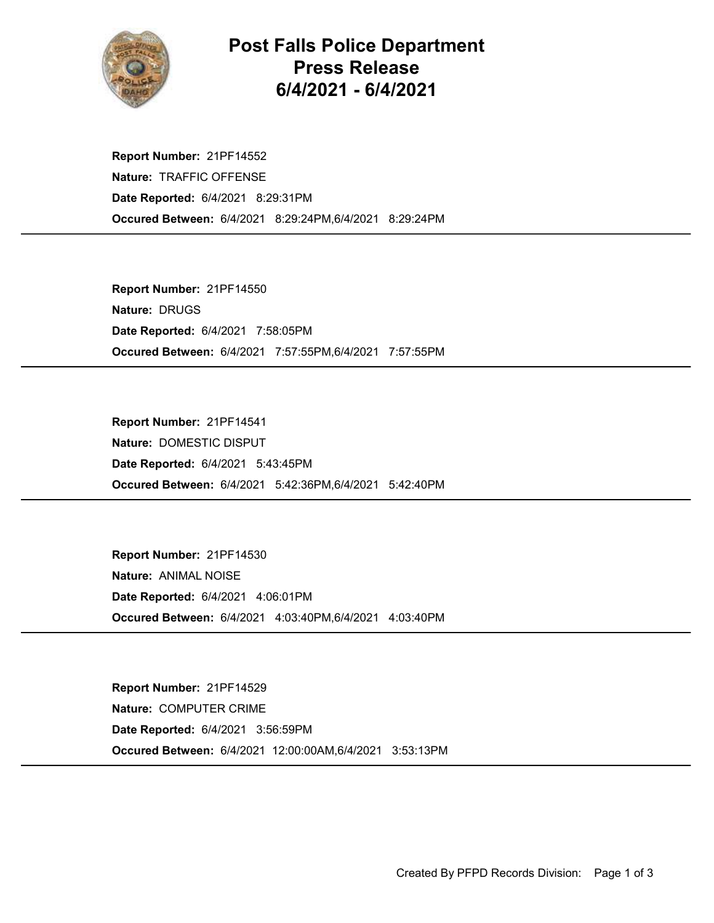

## Post Falls Police Department Press Release 6/4/2021 - 6/4/2021

Occured Between: 6/4/2021 8:29:24PM,6/4/2021 8:29:24PM Report Number: 21PF14552 Nature: TRAFFIC OFFENSE Date Reported: 6/4/2021 8:29:31PM

Occured Between: 6/4/2021 7:57:55PM,6/4/2021 7:57:55PM Report Number: 21PF14550 Nature: DRUGS Date Reported: 6/4/2021 7:58:05PM

Occured Between: 6/4/2021 5:42:36PM,6/4/2021 5:42:40PM Report Number: 21PF14541 Nature: DOMESTIC DISPUT Date Reported: 6/4/2021 5:43:45PM

Occured Between: 6/4/2021 4:03:40PM,6/4/2021 4:03:40PM Report Number: 21PF14530 Nature: ANIMAL NOISE Date Reported: 6/4/2021 4:06:01PM

Occured Between: 6/4/2021 12:00:00AM,6/4/2021 3:53:13PM Report Number: 21PF14529 Nature: COMPUTER CRIME Date Reported: 6/4/2021 3:56:59PM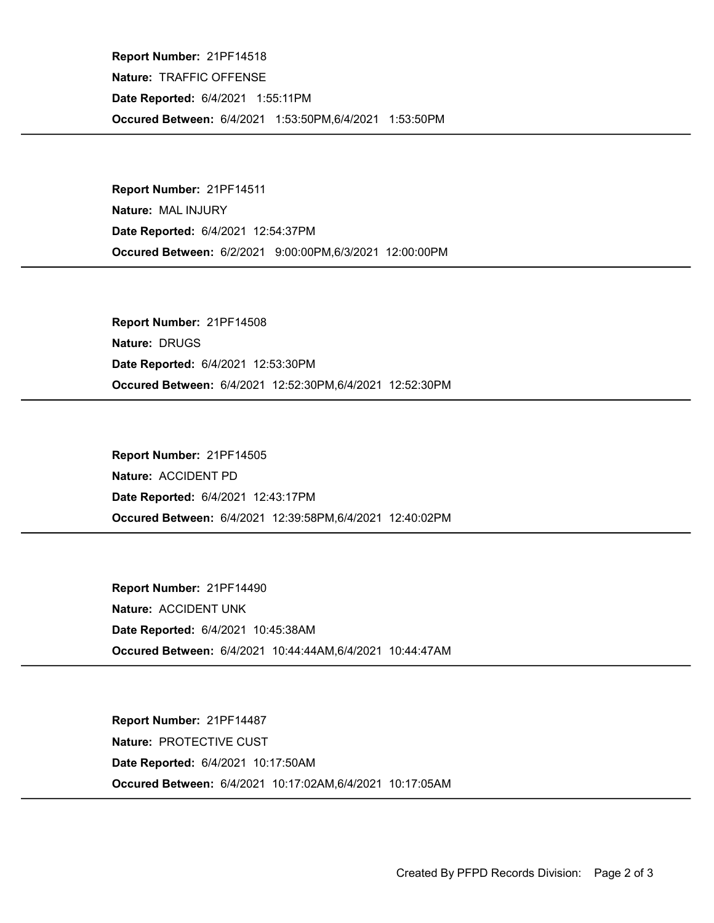Occured Between: 6/4/2021 1:53:50PM,6/4/2021 1:53:50PM Report Number: 21PF14518 Nature: TRAFFIC OFFENSE Date Reported: 6/4/2021 1:55:11PM

Occured Between: 6/2/2021 9:00:00PM,6/3/2021 12:00:00PM Report Number: 21PF14511 Nature: MAL INJURY Date Reported: 6/4/2021 12:54:37PM

Occured Between: 6/4/2021 12:52:30PM,6/4/2021 12:52:30PM Report Number: 21PF14508 Nature: DRUGS Date Reported: 6/4/2021 12:53:30PM

Occured Between: 6/4/2021 12:39:58PM,6/4/2021 12:40:02PM Report Number: 21PF14505 Nature: ACCIDENT PD Date Reported: 6/4/2021 12:43:17PM

Occured Between: 6/4/2021 10:44:44AM,6/4/2021 10:44:47AM Report Number: 21PF14490 Nature: ACCIDENT UNK Date Reported: 6/4/2021 10:45:38AM

Occured Between: 6/4/2021 10:17:02AM,6/4/2021 10:17:05AM Report Number: 21PF14487 Nature: PROTECTIVE CUST Date Reported: 6/4/2021 10:17:50AM